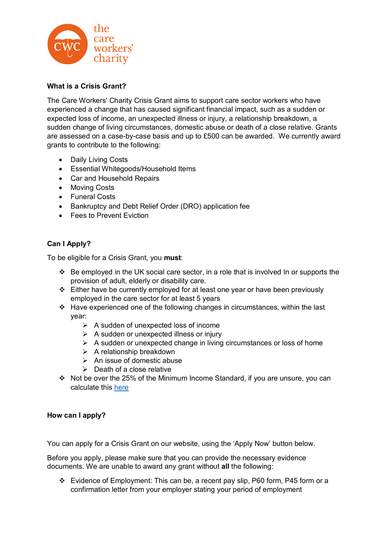

## **What is a Crisis Grant?**

The Care Workers' Charity Crisis Grant aims to support care sector workers who have experienced a change that has caused significant financial impact, such as a sudden or expected loss of income, an unexpected illness or injury, a relationship breakdown, a sudden change of living circumstances, domestic abuse or death of a close relative. Grants are assessed on a case-by-case basis and up to £500 can be awarded. We currently award grants to contribute to the following:

- Daily Living Costs
- Essential Whitegoods/Household Items
- Car and Household Repairs
- Moving Costs
- Funeral Costs
- Bankruptcy and Debt Relief Order (DRO) application fee
- Fees to Prevent Eviction

## **Can I Apply?**

To be eligible for a Crisis Grant, you **must**:

- $\cdot \cdot$  Be employed in the UK social care sector, in a role that is involved In or supports the provision of adult, elderly or disability care.
- $\div$  Either have be currently employed for at least one year or have been previously employed in the care sector for at least 5 years
- $\div$  Have experienced one of the following changes in circumstances, within the last year:
	- $\triangleright$  A sudden of unexpected loss of income
	- $\triangleright$  A sudden or unexpected illness or injury
	- $\triangleright$  A sudden or unexpected change in living circumstances or loss of home
	- $\triangleright$  A relationship breakdown
	- $\triangleright$  An issue of domestic abuse
	- $\triangleright$  Death of a close relative
- Not be over the 25% of the Minimum Income Standard, if you are unsure, you can calculate this here

#### **How can I apply?**

You can apply for a Crisis Grant on our website, using the 'Apply Now' button below.

Before you apply, please make sure that you can provide the necessary evidence documents. We are unable to award any grant without **all** the following:

 Evidence of Employment: This can be, a recent pay slip, P60 form, P45 form or a confirmation letter from your employer stating your period of employment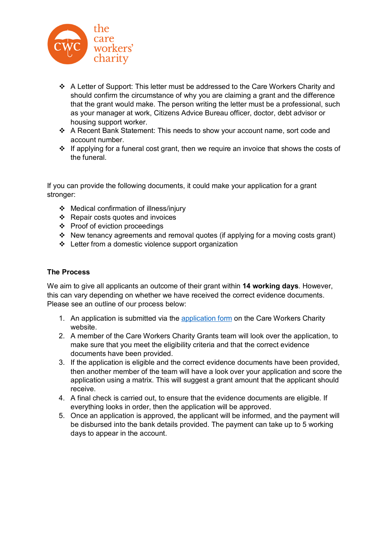

- A Letter of Support: This letter must be addressed to the Care Workers Charity and should confirm the circumstance of why you are claiming a grant and the difference that the grant would make. The person writing the letter must be a professional, such as your manager at work, Citizens Advice Bureau officer, doctor, debt advisor or housing support worker.
- A Recent Bank Statement: This needs to show your account name, sort code and account number.
- $\cdot \cdot$  If applying for a funeral cost grant, then we require an invoice that shows the costs of the funeral.

If you can provide the following documents, it could make your application for a grant stronger:

- Medical confirmation of illness/injury
- $\div$  Repair costs quotes and invoices
- Proof of eviction proceedings
- New tenancy agreements and removal quotes (if applying for a moving costs grant)
- $\div$  Letter from a domestic violence support organization

#### **The Process**

We aim to give all applicants an outcome of their grant within **14 working days**. However, this can vary depending on whether we have received the correct evidence documents. Please see an outline of our process below:

- 1. An application is submitted via the application form on the Care Workers Charity website.
- 2. A member of the Care Workers Charity Grants team will look over the application, to make sure that you meet the eligibility criteria and that the correct evidence documents have been provided.
- 3. If the application is eligible and the correct evidence documents have been provided, then another member of the team will have a look over your application and score the application using a matrix. This will suggest a grant amount that the applicant should receive.
- 4. A final check is carried out, to ensure that the evidence documents are eligible. If everything looks in order, then the application will be approved.
- 5. Once an application is approved, the applicant will be informed, and the payment will be disbursed into the bank details provided. The payment can take up to 5 working days to appear in the account.